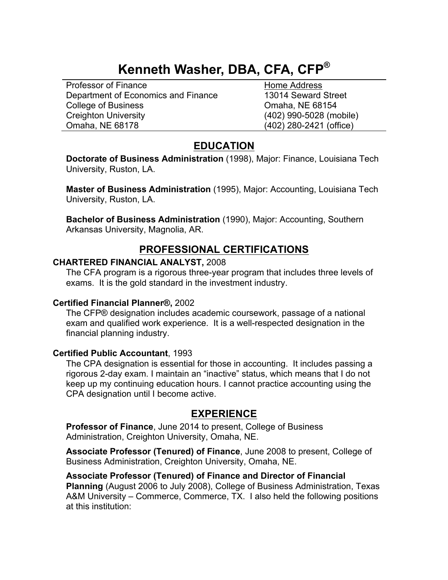# **Kenneth Washer, DBA, CFA, CFP®**

Professor of Finance **Home Address** Department of Economics and Finance 13014 Seward Street College of Business College of Business College of Business College of Business College of Business College of Business College of Business College of Business College of Business College of Business College of Business Co Creighton University (402) 990-5028 (mobile) Omaha, NE 68178 (402) 280-2421 (office)

# **EDUCATION**

**Doctorate of Business Administration** (1998), Major: Finance, Louisiana Tech University, Ruston, LA.

**Master of Business Administration** (1995), Major: Accounting, Louisiana Tech University, Ruston, LA.

**Bachelor of Business Administration** (1990), Major: Accounting, Southern Arkansas University, Magnolia, AR.

# **PROFESSIONAL CERTIFICATIONS**

#### **CHARTERED FINANCIAL ANALYST,** 2008

The CFA program is a rigorous three-year program that includes three levels of exams. It is the gold standard in the investment industry.

#### **Certified Financial Planner®,** 2002

The CFP® designation includes academic coursework, passage of a national exam and qualified work experience. It is a well-respected designation in the financial planning industry.

## **Certified Public Accountant**, 1993

The CPA designation is essential for those in accounting. It includes passing a rigorous 2-day exam. I maintain an "inactive" status, which means that I do not keep up my continuing education hours. I cannot practice accounting using the CPA designation until I become active.

# **EXPERIENCE**

**Professor of Finance**, June 2014 to present, College of Business Administration, Creighton University, Omaha, NE.

**Associate Professor (Tenured) of Finance**, June 2008 to present, College of Business Administration, Creighton University, Omaha, NE.

## **Associate Professor (Tenured) of Finance and Director of Financial**

**Planning** (August 2006 to July 2008), College of Business Administration, Texas A&M University – Commerce, Commerce, TX. I also held the following positions at this institution: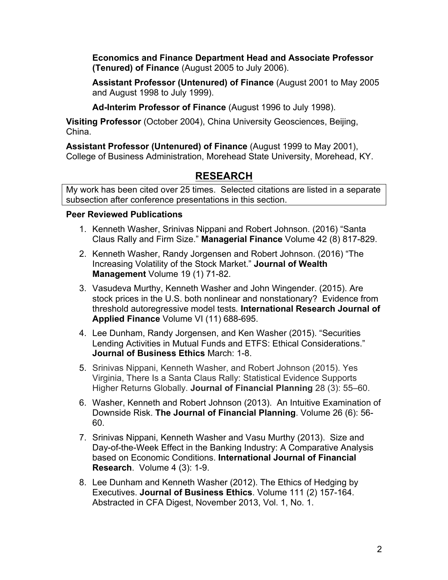**Economics and Finance Department Head and Associate Professor (Tenured) of Finance** (August 2005 to July 2006).

**Assistant Professor (Untenured) of Finance** (August 2001 to May 2005 and August 1998 to July 1999).

**Ad-Interim Professor of Finance** (August 1996 to July 1998).

**Visiting Professor** (October 2004), China University Geosciences, Beijing, China.

**Assistant Professor (Untenured) of Finance** (August 1999 to May 2001), College of Business Administration, Morehead State University, Morehead, KY.

# **RESEARCH**

My work has been cited over 25 times. Selected citations are listed in a separate subsection after conference presentations in this section.

## **Peer Reviewed Publications**

- 1. Kenneth Washer, Srinivas Nippani and Robert Johnson. (2016) "Santa Claus Rally and Firm Size." **Managerial Finance** Volume 42 (8) 817-829.
- 2. Kenneth Washer, Randy Jorgensen and Robert Johnson. (2016) "The Increasing Volatility of the Stock Market." **Journal of Wealth Management** Volume 19 (1) 71-82.
- 3. Vasudeva Murthy, Kenneth Washer and John Wingender. (2015). Are stock prices in the U.S. both nonlinear and nonstationary? Evidence from threshold autoregressive model tests*.* **International Research Journal of Applied Finance** Volume VI (11) 688-695.
- 4. Lee Dunham, Randy Jorgensen, and Ken Washer (2015). "Securities Lending Activities in Mutual Funds and ETFS: Ethical Considerations." **Journal of Business Ethics** March: 1-8.
- 5. Srinivas Nippani, Kenneth Washer, and Robert Johnson (2015). Yes Virginia, There Is a Santa Claus Rally: Statistical Evidence Supports Higher Returns Globally. **Journal of Financial Planning** 28 (3): 55–60.
- 6. Washer, Kenneth and Robert Johnson (2013). An Intuitive Examination of Downside Risk. **The Journal of Financial Planning**. Volume 26 (6): 56- 60.
- 7. Srinivas Nippani, Kenneth Washer and Vasu Murthy (2013). Size and Day-of-the-Week Effect in the Banking Industry: A Comparative Analysis based on Economic Conditions. **International Journal of Financial Research**. Volume 4 (3): 1-9.
- 8. Lee Dunham and Kenneth Washer (2012). The Ethics of Hedging by Executives. **Journal of Business Ethics**. Volume 111 (2) 157-164. Abstracted in CFA Digest, November 2013, Vol. 1, No. 1.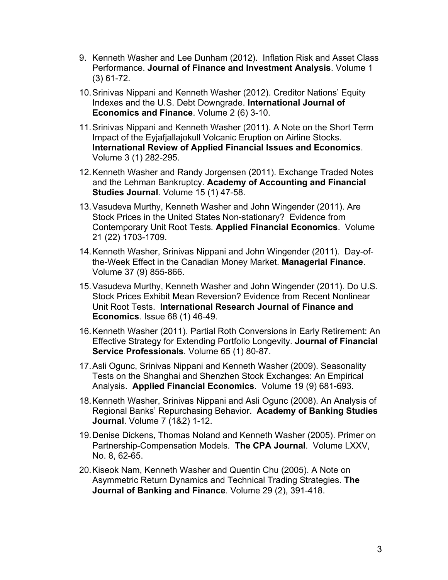- 9. Kenneth Washer and Lee Dunham (2012). Inflation Risk and Asset Class Performance. **Journal of Finance and Investment Analysis**. Volume 1 (3) 61-72.
- 10.Srinivas Nippani and Kenneth Washer (2012). Creditor Nations' Equity Indexes and the U.S. Debt Downgrade. **International Journal of Economics and Finance**. Volume 2 (6) 3-10.
- 11.Srinivas Nippani and Kenneth Washer (2011). A Note on the Short Term Impact of the Eyjafjallajokull Volcanic Eruption on Airline Stocks. **International Review of Applied Financial Issues and Economics**. Volume 3 (1) 282-295.
- 12.Kenneth Washer and Randy Jorgensen (2011). Exchange Traded Notes and the Lehman Bankruptcy. **Academy of Accounting and Financial Studies Journal**. Volume 15 (1) 47-58.
- 13.Vasudeva Murthy, Kenneth Washer and John Wingender (2011). Are Stock Prices in the United States Non-stationary? Evidence from Contemporary Unit Root Tests*.* **Applied Financial Economics**. Volume 21 (22) 1703-1709.
- 14.Kenneth Washer, Srinivas Nippani and John Wingender (2011). Day-ofthe-Week Effect in the Canadian Money Market. **Managerial Finance**. Volume 37 (9) 855-866.
- 15.Vasudeva Murthy, Kenneth Washer and John Wingender (2011). Do U.S. Stock Prices Exhibit Mean Reversion? Evidence from Recent Nonlinear Unit Root Tests. **International Research Journal of Finance and Economics**. Issue 68 (1) 46-49.
- 16.Kenneth Washer (2011). Partial Roth Conversions in Early Retirement: An Effective Strategy for Extending Portfolio Longevity. **Journal of Financial Service Professionals***.* Volume 65 (1) 80-87.
- 17.Asli Ogunc, Srinivas Nippani and Kenneth Washer (2009). Seasonality Tests on the Shanghai and Shenzhen Stock Exchanges: An Empirical Analysis. **Applied Financial Economics**. Volume 19 (9) 681-693.
- 18.Kenneth Washer, Srinivas Nippani and Asli Ogunc (2008). An Analysis of Regional Banks' Repurchasing Behavior. **Academy of Banking Studies Journal**. Volume 7 (1&2) 1-12.
- 19.Denise Dickens, Thomas Noland and Kenneth Washer (2005). Primer on Partnership-Compensation Models. **The CPA Journal**. Volume LXXV, No. 8, 62-65.
- 20.Kiseok Nam, Kenneth Washer and Quentin Chu (2005). A Note on Asymmetric Return Dynamics and Technical Trading Strategies. **The Journal of Banking and Finance***.* Volume 29 (2), 391-418.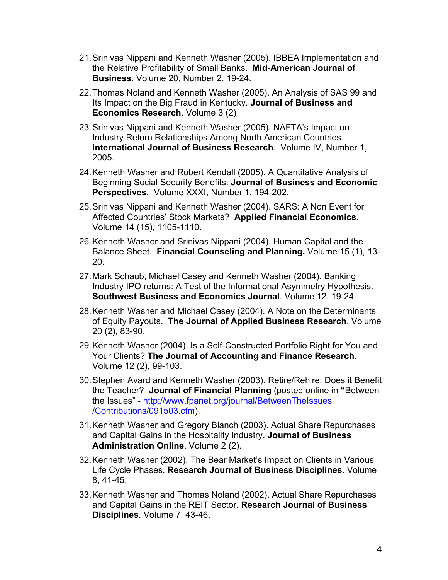- 21.Srinivas Nippani and Kenneth Washer (2005). IBBEA Implementation and the Relative Profitability of Small Banks. **Mid-American Journal of Business**. Volume 20, Number 2, 19-24.
- 22.Thomas Noland and Kenneth Washer (2005). An Analysis of SAS 99 and Its Impact on the Big Fraud in Kentucky. **Journal of Business and Economics Research**. Volume 3 (2)
- 23.Srinivas Nippani and Kenneth Washer (2005). NAFTA's Impact on Industry Return Relationships Among North American Countries. **International Journal of Business Research***.* Volume IV, Number 1, 2005.
- 24.Kenneth Washer and Robert Kendall (2005). A Quantitative Analysis of Beginning Social Security Benefits. **Journal of Business and Economic Perspectives***.* Volume XXXI, Number 1, 194-202.
- 25.Srinivas Nippani and Kenneth Washer (2004). SARS: A Non Event for Affected Countries' Stock Markets? **Applied Financial Economics***.*  Volume 14 (15), 1105-1110.
- 26.Kenneth Washer and Srinivas Nippani (2004). Human Capital and the Balance Sheet. **Financial Counseling and Planning.** Volume 15 (1), 13- 20.
- 27.Mark Schaub, Michael Casey and Kenneth Washer (2004). Banking Industry IPO returns: A Test of the Informational Asymmetry Hypothesis. **Southwest Business and Economics Journal**. Volume 12, 19-24.
- 28.Kenneth Washer and Michael Casey (2004). A Note on the Determinants of Equity Payouts. **The Journal of Applied Business Research**. Volume 20 (2), 83-90.
- 29.Kenneth Washer (2004). Is a Self-Constructed Portfolio Right for You and Your Clients? **The Journal of Accounting and Finance Research**. Volume 12 (2), 99-103.
- 30.Stephen Avard and Kenneth Washer (2003). Retire/Rehire: Does it Benefit the Teacher? **Journal of Financial Planning** (posted online in **"**Between the Issues" - http://www.fpanet.org/journal/BetweenTheIssues /Contributions/091503.cfm).
- 31.Kenneth Washer and Gregory Blanch (2003). Actual Share Repurchases and Capital Gains in the Hospitality Industry. **Journal of Business Administration Online**. Volume 2 (2).
- 32.Kenneth Washer (2002). The Bear Market's Impact on Clients in Various Life Cycle Phases. **Research Journal of Business Disciplines**. Volume 8, 41-45.
- 33.Kenneth Washer and Thomas Noland (2002). Actual Share Repurchases and Capital Gains in the REIT Sector. **Research Journal of Business Disciplines**. Volume 7, 43-46.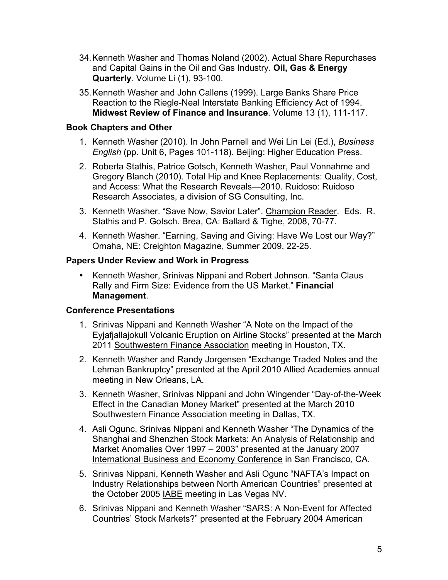- 34.Kenneth Washer and Thomas Noland (2002). Actual Share Repurchases and Capital Gains in the Oil and Gas Industry. **Oil, Gas & Energy Quarterly**. Volume Li (1), 93-100.
- 35.Kenneth Washer and John Callens (1999). Large Banks Share Price Reaction to the Riegle-Neal Interstate Banking Efficiency Act of 1994. **Midwest Review of Finance and Insurance**. Volume 13 (1), 111-117.

#### **Book Chapters and Other**

- 1. Kenneth Washer (2010). In John Parnell and Wei Lin Lei (Ed.), *Business English* (pp. Unit 6, Pages 101-118). Beijing: Higher Education Press.
- 2. Roberta Stathis, Patrice Gotsch, Kenneth Washer, Paul Vonnahme and Gregory Blanch (2010). Total Hip and Knee Replacements: Quality, Cost, and Access: What the Research Reveals—2010. Ruidoso: Ruidoso Research Associates, a division of SG Consulting, Inc.
- 3. Kenneth Washer. "Save Now, Savior Later". Champion Reader. Eds. R. Stathis and P. Gotsch. Brea, CA: Ballard & Tighe, 2008, 70-77.
- 4. Kenneth Washer. "Earning, Saving and Giving: Have We Lost our Way?" Omaha, NE: Creighton Magazine, Summer 2009, 22-25.

#### **Papers Under Review and Work in Progress**

• Kenneth Washer, Srinivas Nippani and Robert Johnson. "Santa Claus Rally and Firm Size: Evidence from the US Market." **Financial Management**.

## **Conference Presentations**

- 1. Srinivas Nippani and Kenneth Washer "A Note on the Impact of the Eyjafjallajokull Volcanic Eruption on Airline Stocks" presented at the March 2011 Southwestern Finance Association meeting in Houston, TX.
- 2. Kenneth Washer and Randy Jorgensen "Exchange Traded Notes and the Lehman Bankruptcy" presented at the April 2010 Allied Academies annual meeting in New Orleans, LA.
- 3. Kenneth Washer, Srinivas Nippani and John Wingender "Day-of-the-Week Effect in the Canadian Money Market" presented at the March 2010 Southwestern Finance Association meeting in Dallas, TX.
- 4. Asli Ogunc, Srinivas Nippani and Kenneth Washer "The Dynamics of the Shanghai and Shenzhen Stock Markets: An Analysis of Relationship and Market Anomalies Over 1997 – 2003" presented at the January 2007 International Business and Economy Conference in San Francisco, CA.
- 5. Srinivas Nippani, Kenneth Washer and Asli Ogunc "NAFTA's Impact on Industry Relationships between North American Countries" presented at the October 2005 IABE meeting in Las Vegas NV.
- 6. Srinivas Nippani and Kenneth Washer "SARS: A Non-Event for Affected Countries' Stock Markets?" presented at the February 2004 American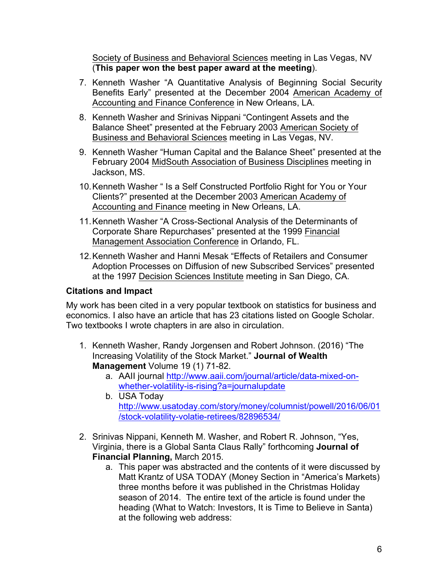Society of Business and Behavioral Sciences meeting in Las Vegas, NV (**This paper won the best paper award at the meeting**).

- 7. Kenneth Washer "A Quantitative Analysis of Beginning Social Security Benefits Early" presented at the December 2004 American Academy of Accounting and Finance Conference in New Orleans, LA.
- 8. Kenneth Washer and Srinivas Nippani "Contingent Assets and the Balance Sheet" presented at the February 2003 American Society of Business and Behavioral Sciences meeting in Las Vegas, NV.
- 9. Kenneth Washer "Human Capital and the Balance Sheet" presented at the February 2004 MidSouth Association of Business Disciplines meeting in Jackson, MS.
- 10.Kenneth Washer " Is a Self Constructed Portfolio Right for You or Your Clients?" presented at the December 2003 American Academy of Accounting and Finance meeting in New Orleans, LA.
- 11.Kenneth Washer "A Cross-Sectional Analysis of the Determinants of Corporate Share Repurchases" presented at the 1999 Financial Management Association Conference in Orlando, FL.
- 12.Kenneth Washer and Hanni Mesak "Effects of Retailers and Consumer Adoption Processes on Diffusion of new Subscribed Services" presented at the 1997 Decision Sciences Institute meeting in San Diego, CA.

## **Citations and Impact**

My work has been cited in a very popular textbook on statistics for business and economics. I also have an article that has 23 citations listed on Google Scholar. Two textbooks I wrote chapters in are also in circulation.

- 1. Kenneth Washer, Randy Jorgensen and Robert Johnson. (2016) "The Increasing Volatility of the Stock Market." **Journal of Wealth Management** Volume 19 (1) 71-82.
	- a. AAII journal http://www.aaii.com/journal/article/data-mixed-onwhether-volatility-is-rising?a=journalupdate
	- b. USA Today http://www.usatoday.com/story/money/columnist/powell/2016/06/01 /stock-volatility-volatie-retirees/82896534/
- 2. Srinivas Nippani, Kenneth M. Washer, and Robert R. Johnson, "Yes, Virginia, there is a Global Santa Claus Rally" forthcoming **Journal of Financial Planning,** March 2015.
	- a. This paper was abstracted and the contents of it were discussed by Matt Krantz of USA TODAY (Money Section in "America's Markets) three months before it was published in the Christmas Holiday season of 2014. The entire text of the article is found under the heading (What to Watch: Investors, It is Time to Believe in Santa) at the following web address: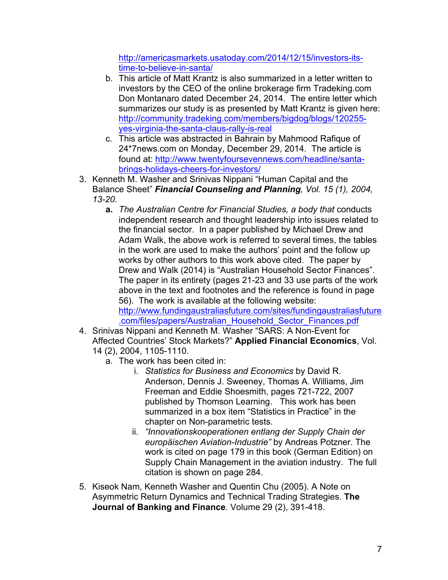http://americasmarkets.usatoday.com/2014/12/15/investors-itstime-to-believe-in-santa/

- b. This article of Matt Krantz is also summarized in a letter written to investors by the CEO of the online brokerage firm Tradeking.com Don Montanaro dated December 24, 2014. The entire letter which summarizes our study is as presented by Matt Krantz is given here: http://community.tradeking.com/members/bigdog/blogs/120255 yes-virginia-the-santa-claus-rally-is-real
- c. This article was abstracted in Bahrain by Mahmood Rafique of 24\*7news.com on Monday, December 29, 2014. The article is found at: http://www.twentyfoursevennews.com/headline/santabrings-holidays-cheers-for-investors/
- 3. Kenneth M. Washer and Srinivas Nippani "Human Capital and the Balance Sheet" *Financial Counseling and Planning, Vol. 15 (1), 2004, 13-20.*
	- **a.** *The Australian Centre for Financial Studies, a body that* conducts independent research and thought leadership into issues related to the financial sector. In a paper published by Michael Drew and Adam Walk, the above work is referred to several times, the tables in the work are used to make the authors' point and the follow up works by other authors to this work above cited. The paper by Drew and Walk (2014) is "Australian Household Sector Finances". The paper in its entirety (pages 21-23 and 33 use parts of the work above in the text and footnotes and the reference is found in page 56). The work is available at the following website: http://www.fundingaustraliasfuture.com/sites/fundingaustraliasfuture .com/files/papers/Australian\_Household\_Sector\_Finances.pdf
- 4. Srinivas Nippani and Kenneth M. Washer "SARS: A Non-Event for Affected Countries' Stock Markets?" **Applied Financial Economics**, Vol. 14 (2), 2004, 1105-1110.
	- a. The work has been cited in:
		- i. *Statistics for Business and Economics* by David R. Anderson, Dennis J. Sweeney, Thomas A. Williams, Jim Freeman and Eddie Shoesmith, pages 721-722, 2007 published by Thomson Learning. This work has been summarized in a box item "Statistics in Practice" in the chapter on Non-parametric tests.
		- ii. *"Innovationskooperationen entlang der Supply Chain der europäischen Aviation-Industrie"* by Andreas Potzner. The work is cited on page 179 in this book (German Edition) on Supply Chain Management in the aviation industry. The full citation is shown on page 284.
- 5. Kiseok Nam, Kenneth Washer and Quentin Chu (2005). A Note on Asymmetric Return Dynamics and Technical Trading Strategies. **The Journal of Banking and Finance***.* Volume 29 (2), 391-418.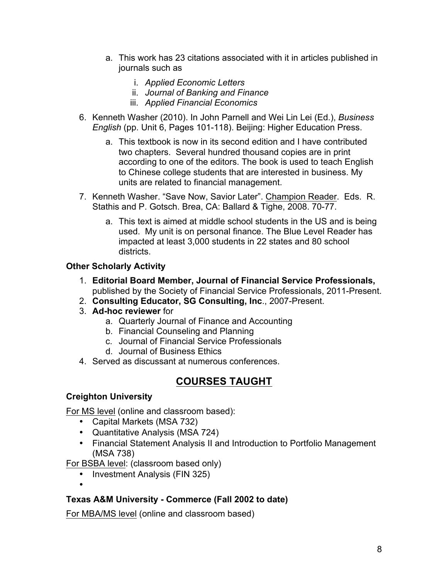- a. This work has 23 citations associated with it in articles published in journals such as
	- i. *Applied Economic Letters*
	- ii. *Journal of Banking and Finance*
	- iii. *Applied Financial Economics*
- 6. Kenneth Washer (2010). In John Parnell and Wei Lin Lei (Ed.), *Business English* (pp. Unit 6, Pages 101-118). Beijing: Higher Education Press.
	- a. This textbook is now in its second edition and I have contributed two chapters. Several hundred thousand copies are in print according to one of the editors. The book is used to teach English to Chinese college students that are interested in business. My units are related to financial management.
- 7. Kenneth Washer. "Save Now, Savior Later". Champion Reader. Eds. R. Stathis and P. Gotsch. Brea, CA: Ballard & Tighe, 2008. 70-77.
	- a. This text is aimed at middle school students in the US and is being used. My unit is on personal finance. The Blue Level Reader has impacted at least 3,000 students in 22 states and 80 school districts.

## **Other Scholarly Activity**

- 1. **Editorial Board Member, Journal of Financial Service Professionals,**  published by the Society of Financial Service Professionals, 2011-Present.
- 2. **Consulting Educator, SG Consulting, Inc**., 2007-Present.
- 3. **Ad-hoc reviewer** for
	- a. Quarterly Journal of Finance and Accounting
	- b. Financial Counseling and Planning
	- c. Journal of Financial Service Professionals
	- d. Journal of Business Ethics
- 4. Served as discussant at numerous conferences.

# **COURSES TAUGHT**

## **Creighton University**

•

For MS level (online and classroom based):

- Capital Markets (MSA 732)
- Quantitative Analysis (MSA 724)
- Financial Statement Analysis II and Introduction to Portfolio Management (MSA 738)

For BSBA level: (classroom based only)

• Investment Analysis (FIN 325)

# **Texas A&M University - Commerce (Fall 2002 to date)**

For MBA/MS level (online and classroom based)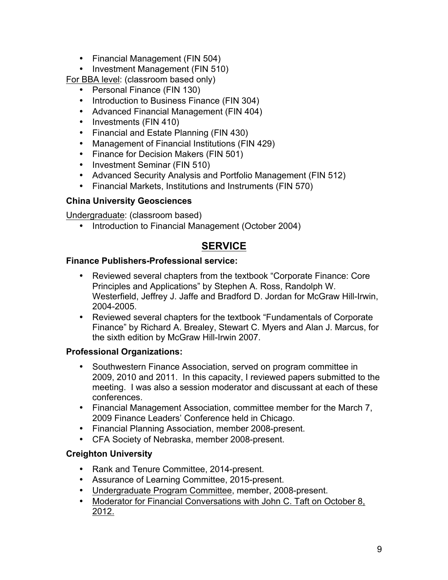- Financial Management (FIN 504)
- Investment Management (FIN 510)

For BBA level: (classroom based only)

- Personal Finance (FIN 130)
- Introduction to Business Finance (FIN 304)
- Advanced Financial Management (FIN 404)
- Investments (FIN 410)
- Financial and Estate Planning (FIN 430)
- Management of Financial Institutions (FIN 429)
- Finance for Decision Makers (FIN 501)
- Investment Seminar (FIN 510)
- Advanced Security Analysis and Portfolio Management (FIN 512)
- Financial Markets, Institutions and Instruments (FIN 570)

#### **China University Geosciences**

Undergraduate: (classroom based)

• Introduction to Financial Management (October 2004)

## **SERVICE**

#### **Finance Publishers-Professional service:**

- Reviewed several chapters from the textbook "Corporate Finance: Core Principles and Applications" by Stephen A. Ross, Randolph W. Westerfield, Jeffrey J. Jaffe and Bradford D. Jordan for McGraw Hill-Irwin, 2004-2005.
- Reviewed several chapters for the textbook "Fundamentals of Corporate Finance" by Richard A. Brealey, Stewart C. Myers and Alan J. Marcus, for the sixth edition by McGraw Hill-Irwin 2007.

#### **Professional Organizations:**

- Southwestern Finance Association, served on program committee in 2009, 2010 and 2011. In this capacity, I reviewed papers submitted to the meeting. I was also a session moderator and discussant at each of these conferences.
- Financial Management Association, committee member for the March 7, 2009 Finance Leaders' Conference held in Chicago.
- Financial Planning Association, member 2008-present.
- CFA Society of Nebraska, member 2008-present.

#### **Creighton University**

- Rank and Tenure Committee, 2014-present.
- Assurance of Learning Committee, 2015-present.
- Undergraduate Program Committee, member, 2008-present.
- Moderator for Financial Conversations with John C. Taft on October 8, 2012.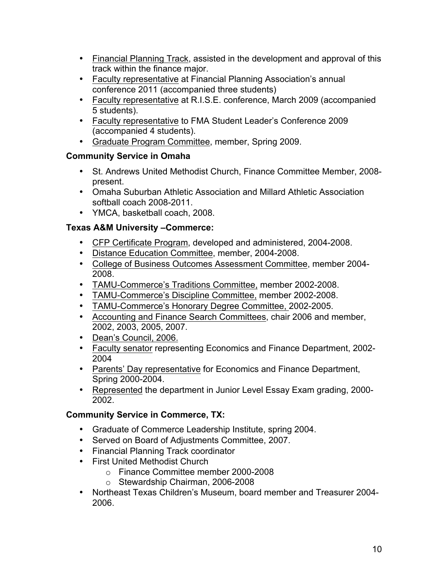- Financial Planning Track, assisted in the development and approval of this track within the finance major.
- Faculty representative at Financial Planning Association's annual conference 2011 (accompanied three students)
- Faculty representative at R.I.S.E. conference, March 2009 (accompanied 5 students).
- Faculty representative to FMA Student Leader's Conference 2009 (accompanied 4 students).
- Graduate Program Committee, member, Spring 2009.

## **Community Service in Omaha**

- St. Andrews United Methodist Church, Finance Committee Member, 2008 present.
- Omaha Suburban Athletic Association and Millard Athletic Association softball coach 2008-2011.
- YMCA, basketball coach, 2008.

## **Texas A&M University –Commerce:**

- CFP Certificate Program, developed and administered, 2004-2008.
- Distance Education Committee, member, 2004-2008.
- College of Business Outcomes Assessment Committee, member 2004- 2008.
- TAMU-Commerce's Traditions Committee, member 2002-2008.
- TAMU-Commerce's Discipline Committee, member 2002-2008.
- TAMU-Commerce's Honorary Degree Committee, 2002-2005.
- Accounting and Finance Search Committees, chair 2006 and member, 2002, 2003, 2005, 2007.
- Dean's Council, 2006.
- Faculty senator representing Economics and Finance Department, 2002- 2004
- Parents' Day representative for Economics and Finance Department, Spring 2000-2004.
- Represented the department in Junior Level Essay Exam grading, 2000- 2002.

## **Community Service in Commerce, TX:**

- Graduate of Commerce Leadership Institute, spring 2004.
- Served on Board of Adjustments Committee, 2007.
- Financial Planning Track coordinator
- First United Methodist Church
	- o Finance Committee member 2000-2008
	- o Stewardship Chairman, 2006-2008
- Northeast Texas Children's Museum, board member and Treasurer 2004- 2006.